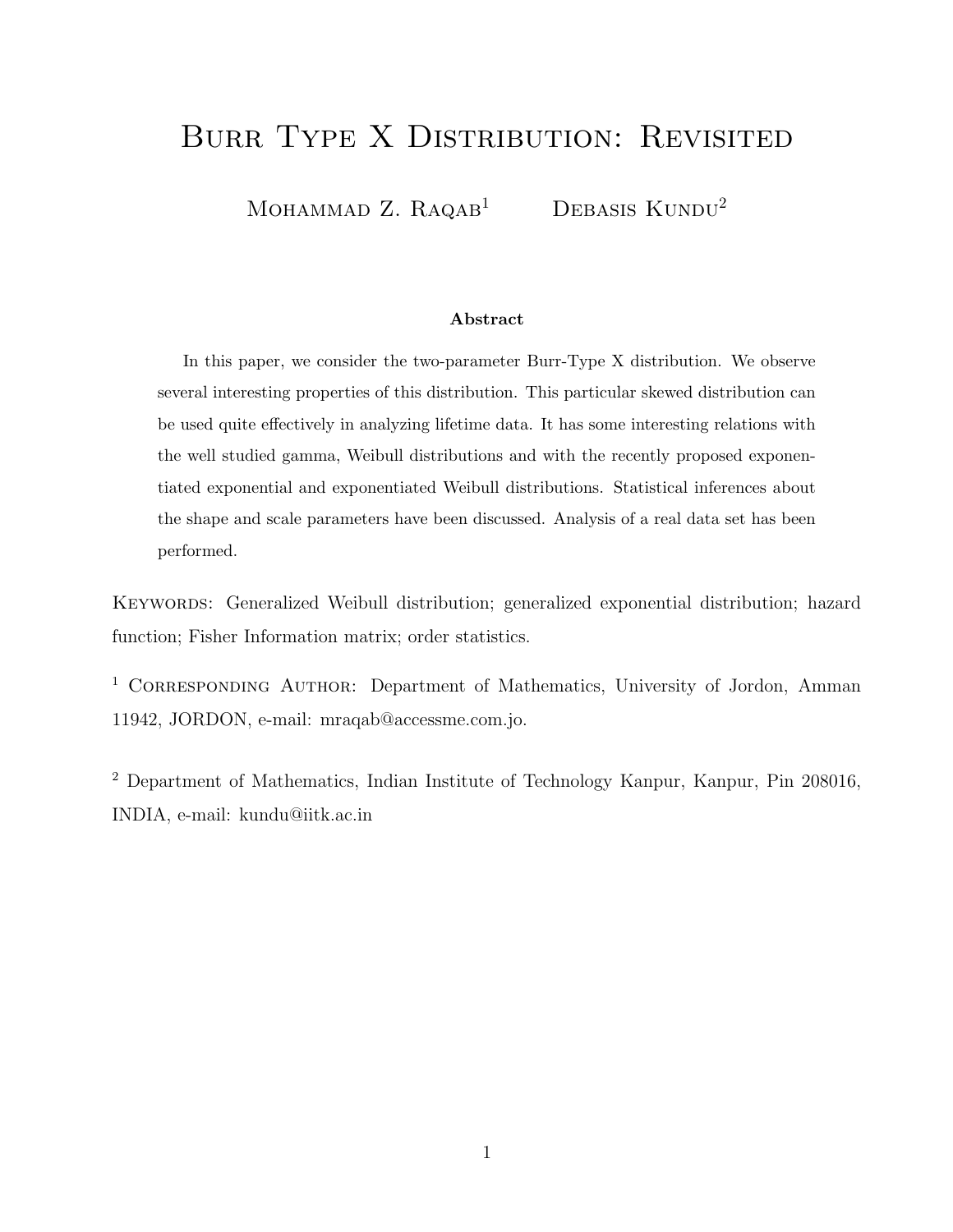# BURR TYPE X DISTRIBUTION: REVISITED

MOHAMMAD Z.  $R_A QAB$ <sup>1</sup> DEBASIS KUNDU<sup>2</sup>

#### Abstract

In this paper, we consider the two-parameter Burr-Type X distribution. We observe several interesting properties of this distribution. This particular skewed distribution can be used quite effectively in analyzing lifetime data. It has some interesting relations with the well studied gamma, Weibull distributions and with the recently proposed exponentiated exponential and exponentiated Weibull distributions. Statistical inferences about the shape and scale parameters have been discussed. Analysis of a real data set has been performed.

KEYWORDS: Generalized Weibull distribution; generalized exponential distribution; hazard function; Fisher Information matrix; order statistics.

<sup>1</sup> CORRESPONDING AUTHOR: Department of Mathematics, University of Jordon, Amman 11942, JORDON, e-mail: mraqab@accessme.com.jo.

<sup>2</sup> Department of Mathematics, Indian Institute of Technology Kanpur, Kanpur, Pin 208016, INDIA, e-mail: kundu@iitk.ac.in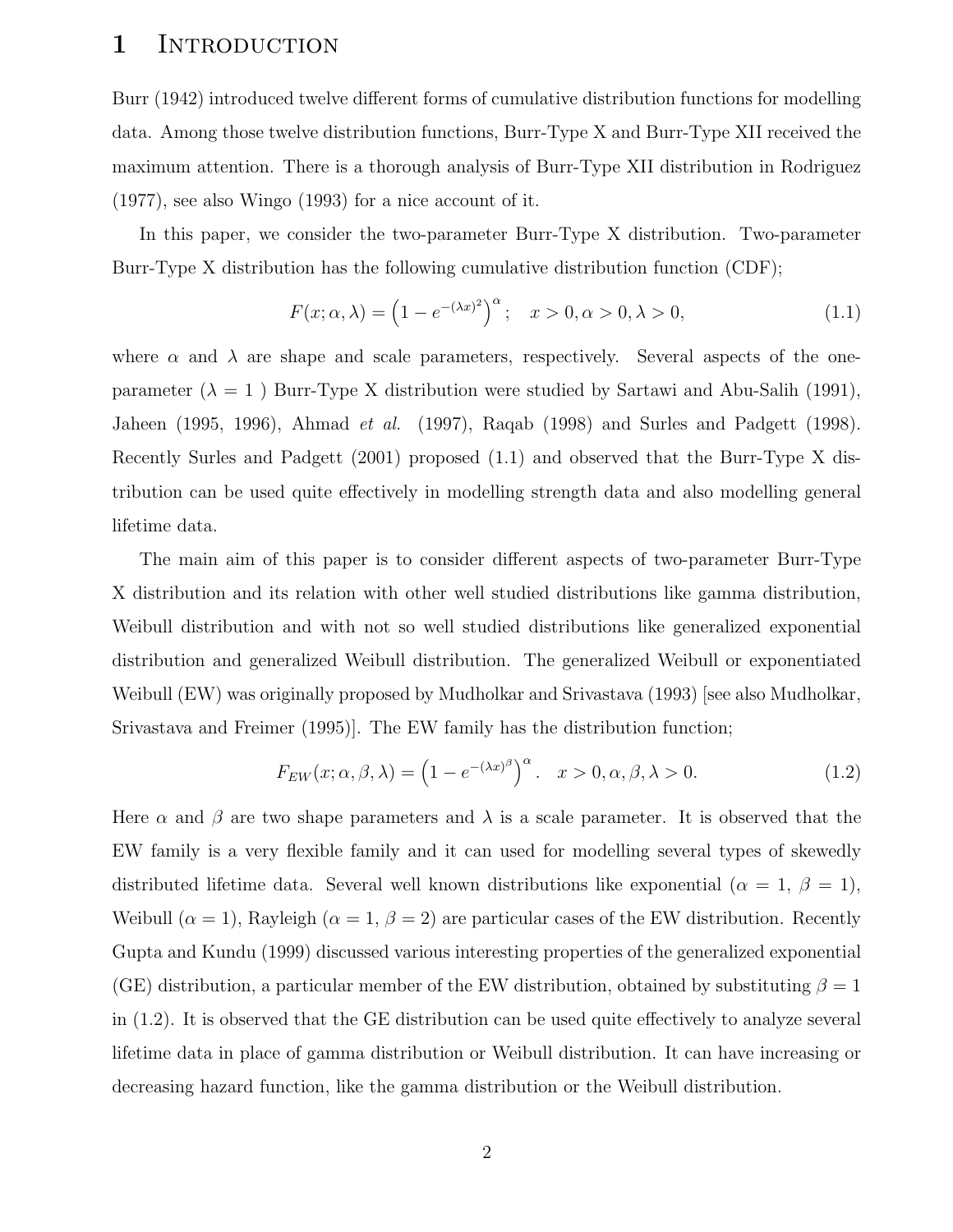#### 1 INTRODUCTION

Burr (1942) introduced twelve different forms of cumulative distribution functions for modelling data. Among those twelve distribution functions, Burr-Type X and Burr-Type XII received the maximum attention. There is a thorough analysis of Burr-Type XII distribution in Rodriguez (1977), see also Wingo (1993) for a nice account of it.

In this paper, we consider the two-parameter Burr-Type X distribution. Two-parameter Burr-Type X distribution has the following cumulative distribution function (CDF);

$$
F(x; \alpha, \lambda) = (1 - e^{-(\lambda x)^2})^{\alpha}; \quad x > 0, \alpha > 0, \lambda > 0,
$$
 (1.1)

where  $\alpha$  and  $\lambda$  are shape and scale parameters, respectively. Several aspects of the oneparameter  $(\lambda = 1)$  Burr-Type X distribution were studied by Sartawi and Abu-Salih (1991), Jaheen (1995, 1996), Ahmad et al. (1997), Raqab (1998) and Surles and Padgett (1998). Recently Surles and Padgett (2001) proposed (1.1) and observed that the Burr-Type X distribution can be used quite effectively in modelling strength data and also modelling general lifetime data.

The main aim of this paper is to consider different aspects of two-parameter Burr-Type X distribution and its relation with other well studied distributions like gamma distribution, Weibull distribution and with not so well studied distributions like generalized exponential distribution and generalized Weibull distribution. The generalized Weibull or exponentiated Weibull (EW) was originally proposed by Mudholkar and Srivastava (1993) [see also Mudholkar, Srivastava and Freimer (1995)]. The EW family has the distribution function;

$$
F_{EW}(x; \alpha, \beta, \lambda) = \left(1 - e^{-(\lambda x)^{\beta}}\right)^{\alpha}. \quad x > 0, \alpha, \beta, \lambda > 0.
$$
 (1.2)

Here  $\alpha$  and  $\beta$  are two shape parameters and  $\lambda$  is a scale parameter. It is observed that the EW family is a very flexible family and it can used for modelling several types of skewedly distributed lifetime data. Several well known distributions like exponential  $(\alpha = 1, \beta = 1)$ , Weibull  $(\alpha = 1)$ , Rayleigh  $(\alpha = 1, \beta = 2)$  are particular cases of the EW distribution. Recently Gupta and Kundu (1999) discussed various interesting properties of the generalized exponential (GE) distribution, a particular member of the EW distribution, obtained by substituting  $\beta = 1$ in (1.2). It is observed that the GE distribution can be used quite effectively to analyze several lifetime data in place of gamma distribution or Weibull distribution. It can have increasing or decreasing hazard function, like the gamma distribution or the Weibull distribution.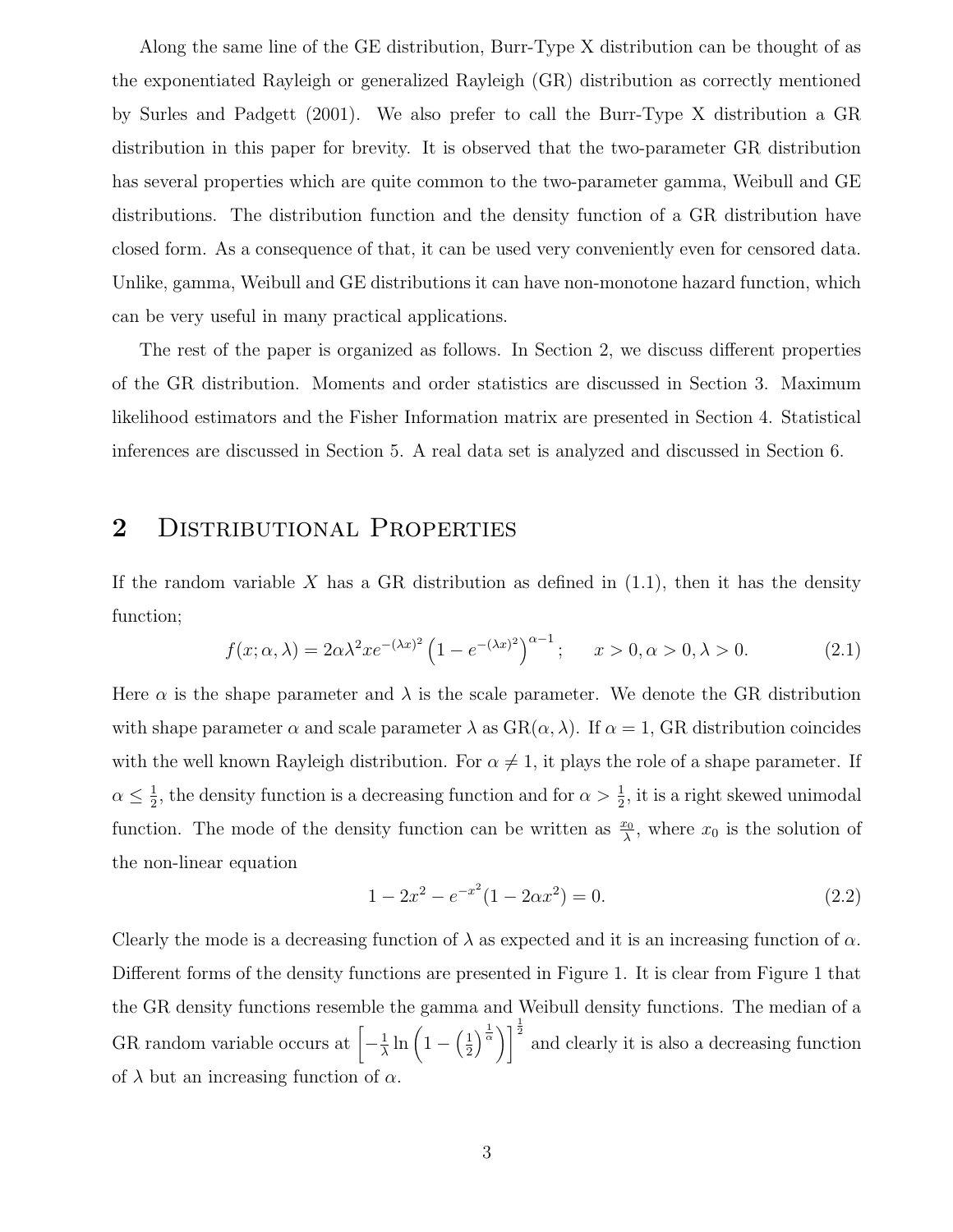Along the same line of the GE distribution, Burr-Type X distribution can be thought of as the exponentiated Rayleigh or generalized Rayleigh (GR) distribution as correctly mentioned by Surles and Padgett (2001). We also prefer to call the Burr-Type X distribution a GR distribution in this paper for brevity. It is observed that the two-parameter GR distribution has several properties which are quite common to the two-parameter gamma, Weibull and GE distributions. The distribution function and the density function of a GR distribution have closed form. As a consequence of that, it can be used very conveniently even for censored data. Unlike, gamma, Weibull and GE distributions it can have non-monotone hazard function, which can be very useful in many practical applications.

The rest of the paper is organized as follows. In Section 2, we discuss different properties of the GR distribution. Moments and order statistics are discussed in Section 3. Maximum likelihood estimators and the Fisher Information matrix are presented in Section 4. Statistical inferences are discussed in Section 5. A real data set is analyzed and discussed in Section 6.

## 2 DISTRIBUTIONAL PROPERTIES

If the random variable  $X$  has a GR distribution as defined in  $(1.1)$ , then it has the density function;

$$
f(x; \alpha, \lambda) = 2\alpha\lambda^2 x e^{-(\lambda x)^2} \left(1 - e^{-(\lambda x)^2}\right)^{\alpha - 1}; \quad x > 0, \alpha > 0, \lambda > 0.
$$
 (2.1)

Here  $\alpha$  is the shape parameter and  $\lambda$  is the scale parameter. We denote the GR distribution with shape parameter  $\alpha$  and scale parameter  $\lambda$  as  $GR(\alpha, \lambda)$ . If  $\alpha = 1$ , GR distribution coincides with the well known Rayleigh distribution. For  $\alpha \neq 1$ , it plays the role of a shape parameter. If  $\alpha \leq \frac{1}{2}$  $\frac{1}{2}$ , the density function is a decreasing function and for  $\alpha > \frac{1}{2}$  $\frac{1}{2}$ , it is a right skewed unimodal function. The mode of the density function can be written as  $\frac{x_0}{\lambda}$ , where  $x_0$  is the solution of the non-linear equation

$$
1 - 2x2 - e-x2 (1 - 2\alpha x2) = 0.
$$
 (2.2)

Clearly the mode is a decreasing function of  $\lambda$  as expected and it is an increasing function of  $\alpha$ . Different forms of the density functions are presented in Figure 1. It is clear from Figure 1 that the GR density functions resemble the gamma and Weibull density functions. The median of a GR random variable occurs at  $\left[-\frac{1}{\lambda}\right]$  $\frac{1}{\lambda} \ln \left( 1 - \left( \frac{1}{2} \right) \right)$  $\left(\frac{1}{2}\right)^{\frac{1}{\alpha}}\right)^{\frac{1}{2}}$  and clearly it is also a decreasing function of  $\lambda$  but an increasing function of  $\alpha$ .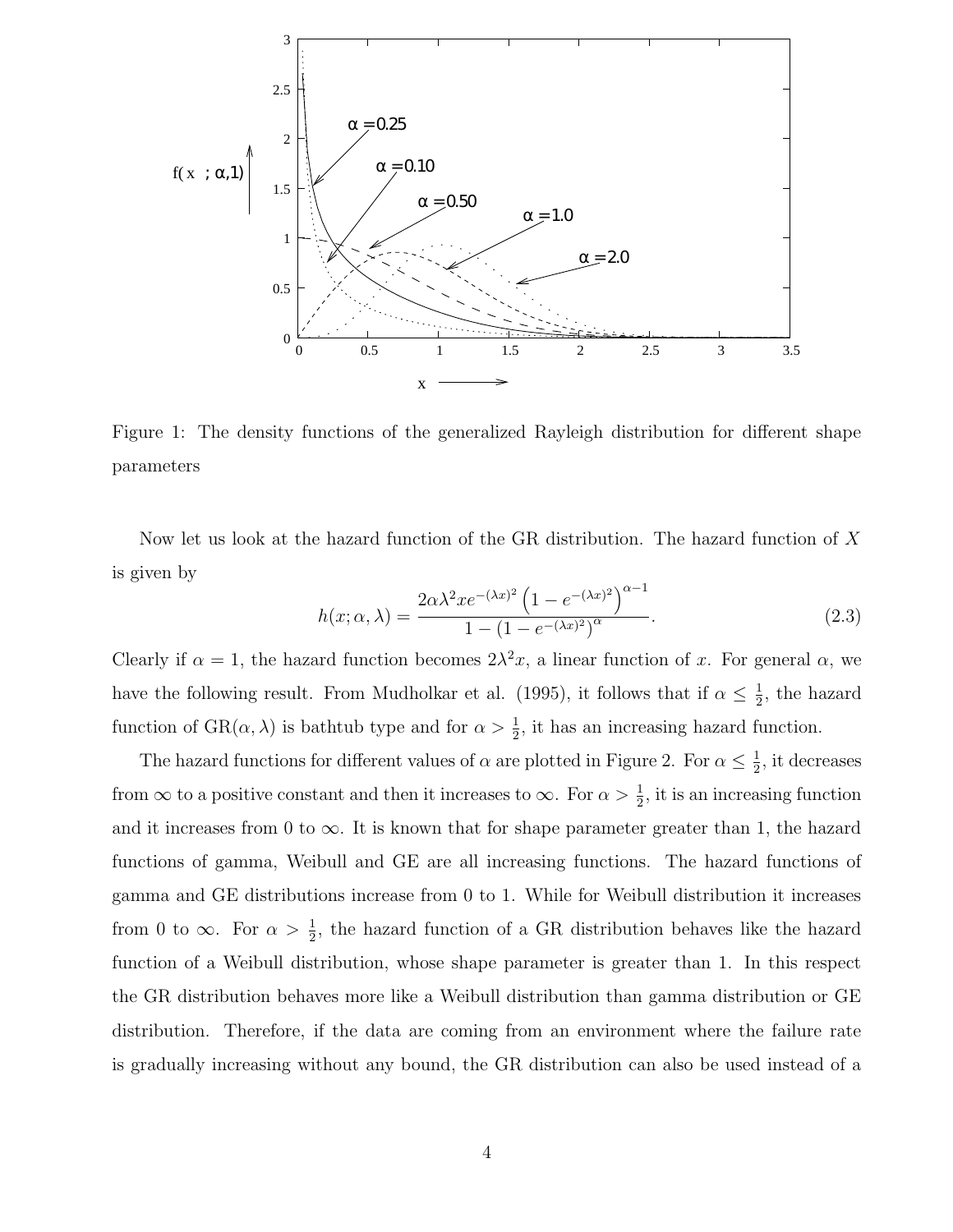

Figure 1: The density functions of the generalized Rayleigh distribution for different shape parameters

Now let us look at the hazard function of the GR distribution. The hazard function of X is given by

$$
h(x; \alpha, \lambda) = \frac{2\alpha\lambda^2 x e^{-(\lambda x)^2} \left(1 - e^{-(\lambda x)^2}\right)^{\alpha - 1}}{1 - \left(1 - e^{-(\lambda x)^2}\right)^{\alpha}}.
$$
\n(2.3)

Clearly if  $\alpha = 1$ , the hazard function becomes  $2\lambda^2 x$ , a linear function of x. For general  $\alpha$ , we have the following result. From Mudholkar et al. (1995), it follows that if  $\alpha \leq \frac{1}{2}$  $\frac{1}{2}$ , the hazard function of  $\text{GR}(\alpha, \lambda)$  is bathtub type and for  $\alpha > \frac{1}{2}$  $\frac{1}{2}$ , it has an increasing hazard function.

The hazard functions for different values of  $\alpha$  are plotted in Figure 2. For  $\alpha \leq \frac{1}{2}$  $\frac{1}{2}$ , it decreases from  $\infty$  to a positive constant and then it increases to  $\infty$ . For  $\alpha > \frac{1}{2}$  $\frac{1}{2}$ , it is an increasing function and it increases from 0 to  $\infty$ . It is known that for shape parameter greater than 1, the hazard functions of gamma, Weibull and GE are all increasing functions. The hazard functions of gamma and GE distributions increase from 0 to 1. While for Weibull distribution it increases from 0 to  $\infty$ . For  $\alpha > \frac{1}{2}$  $\frac{1}{2}$ , the hazard function of a GR distribution behaves like the hazard function of a Weibull distribution, whose shape parameter is greater than 1. In this respect the GR distribution behaves more like a Weibull distribution than gamma distribution or GE distribution. Therefore, if the data are coming from an environment where the failure rate is gradually increasing without any bound, the GR distribution can also be used instead of a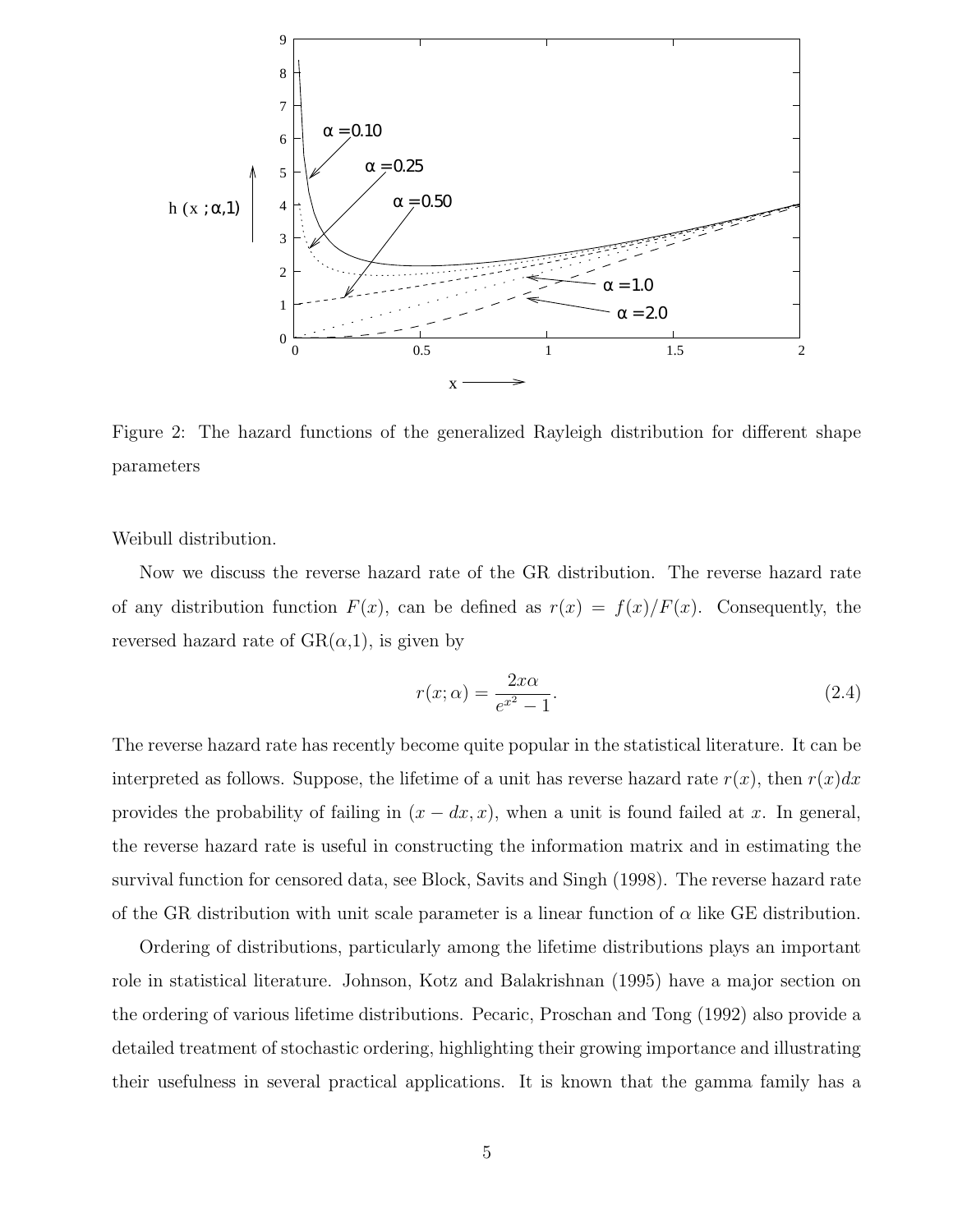

Figure 2: The hazard functions of the generalized Rayleigh distribution for different shape parameters

Weibull distribution.

Now we discuss the reverse hazard rate of the GR distribution. The reverse hazard rate of any distribution function  $F(x)$ , can be defined as  $r(x) = f(x)/F(x)$ . Consequently, the reversed hazard rate of  $GR(\alpha,1)$ , is given by

$$
r(x; \alpha) = \frac{2x\alpha}{e^{x^2} - 1}.
$$
\n(2.4)

The reverse hazard rate has recently become quite popular in the statistical literature. It can be interpreted as follows. Suppose, the lifetime of a unit has reverse hazard rate  $r(x)$ , then  $r(x)dx$ provides the probability of failing in  $(x - dx, x)$ , when a unit is found failed at x. In general, the reverse hazard rate is useful in constructing the information matrix and in estimating the survival function for censored data, see Block, Savits and Singh (1998). The reverse hazard rate of the GR distribution with unit scale parameter is a linear function of  $\alpha$  like GE distribution.

Ordering of distributions, particularly among the lifetime distributions plays an important role in statistical literature. Johnson, Kotz and Balakrishnan (1995) have a major section on the ordering of various lifetime distributions. Pecaric, Proschan and Tong (1992) also provide a detailed treatment of stochastic ordering, highlighting their growing importance and illustrating their usefulness in several practical applications. It is known that the gamma family has a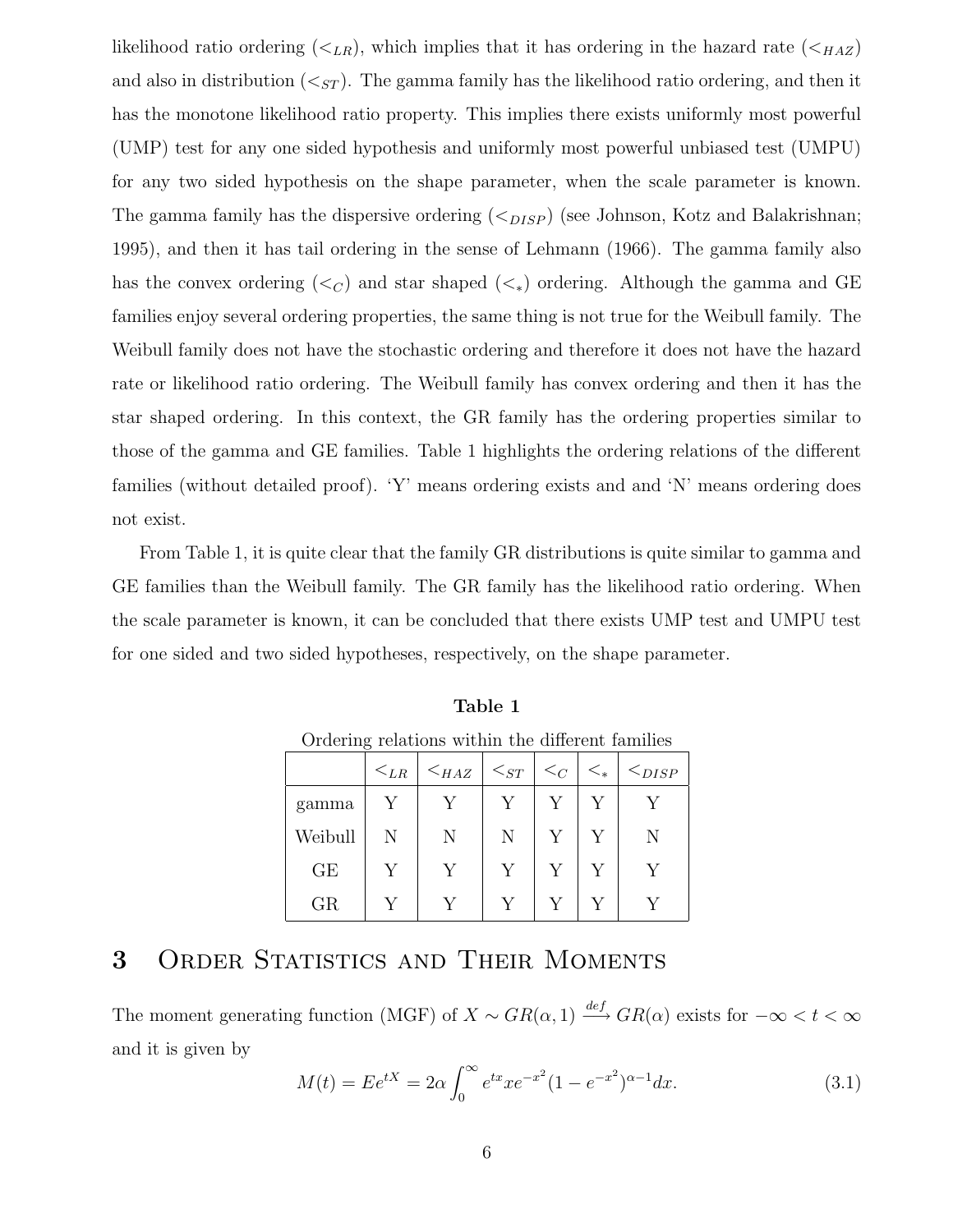likelihood ratio ordering  $(*L<sub>R</sub>*),$  which implies that it has ordering in the hazard rate  $(*H<sub>AZ</sub>*)$ and also in distribution  $( $s_{ST}$ ). The gamma family has the likelihood ratio ordering, and then it$ has the monotone likelihood ratio property. This implies there exists uniformly most powerful (UMP) test for any one sided hypothesis and uniformly most powerful unbiased test (UMPU) for any two sided hypothesis on the shape parameter, when the scale parameter is known. The gamma family has the dispersive ordering  $(<_{DISP}$ ) (see Johnson, Kotz and Balakrishnan; 1995), and then it has tail ordering in the sense of Lehmann (1966). The gamma family also has the convex ordering ( $\lt_C$ ) and star shaped ( $\lt_*$ ) ordering. Although the gamma and GE families enjoy several ordering properties, the same thing is not true for the Weibull family. The Weibull family does not have the stochastic ordering and therefore it does not have the hazard rate or likelihood ratio ordering. The Weibull family has convex ordering and then it has the star shaped ordering. In this context, the GR family has the ordering properties similar to those of the gamma and GE families. Table 1 highlights the ordering relations of the different families (without detailed proof). 'Y' means ordering exists and and 'N' means ordering does not exist.

From Table 1, it is quite clear that the family GR distributions is quite similar to gamma and GE families than the Weibull family. The GR family has the likelihood ratio ordering. When the scale parameter is known, it can be concluded that there exists UMP test and UMPU test for one sided and two sided hypotheses, respectively, on the shape parameter.

| Ordering relations within the different families |          |           |             |          |              |               |
|--------------------------------------------------|----------|-----------|-------------|----------|--------------|---------------|
|                                                  | $<_{LR}$ | $<_{HAZ}$ | $\leq_{ST}$ | $\leq_C$ | $\lt_{\ast}$ | $\leq_{DISP}$ |
| gamma                                            | Y        |           |             |          | V            |               |
| Weibull                                          | Ν        | N         | N           |          | V            | N             |
| GE                                               | Y        | V         | Y           |          |              |               |
| GR                                               |          |           |             |          |              |               |

Table 1 Ordering relations within the different families

### 3 ORDER STATISTICS AND THEIR MOMENTS

The moment generating function (MGF) of  $X \sim GR(\alpha, 1) \stackrel{def}{\longrightarrow} GR(\alpha)$  exists for  $-\infty < t < \infty$ and it is given by

$$
M(t) = E e^{tX} = 2\alpha \int_0^\infty e^{tx} x e^{-x^2} (1 - e^{-x^2})^{\alpha - 1} dx.
$$
 (3.1)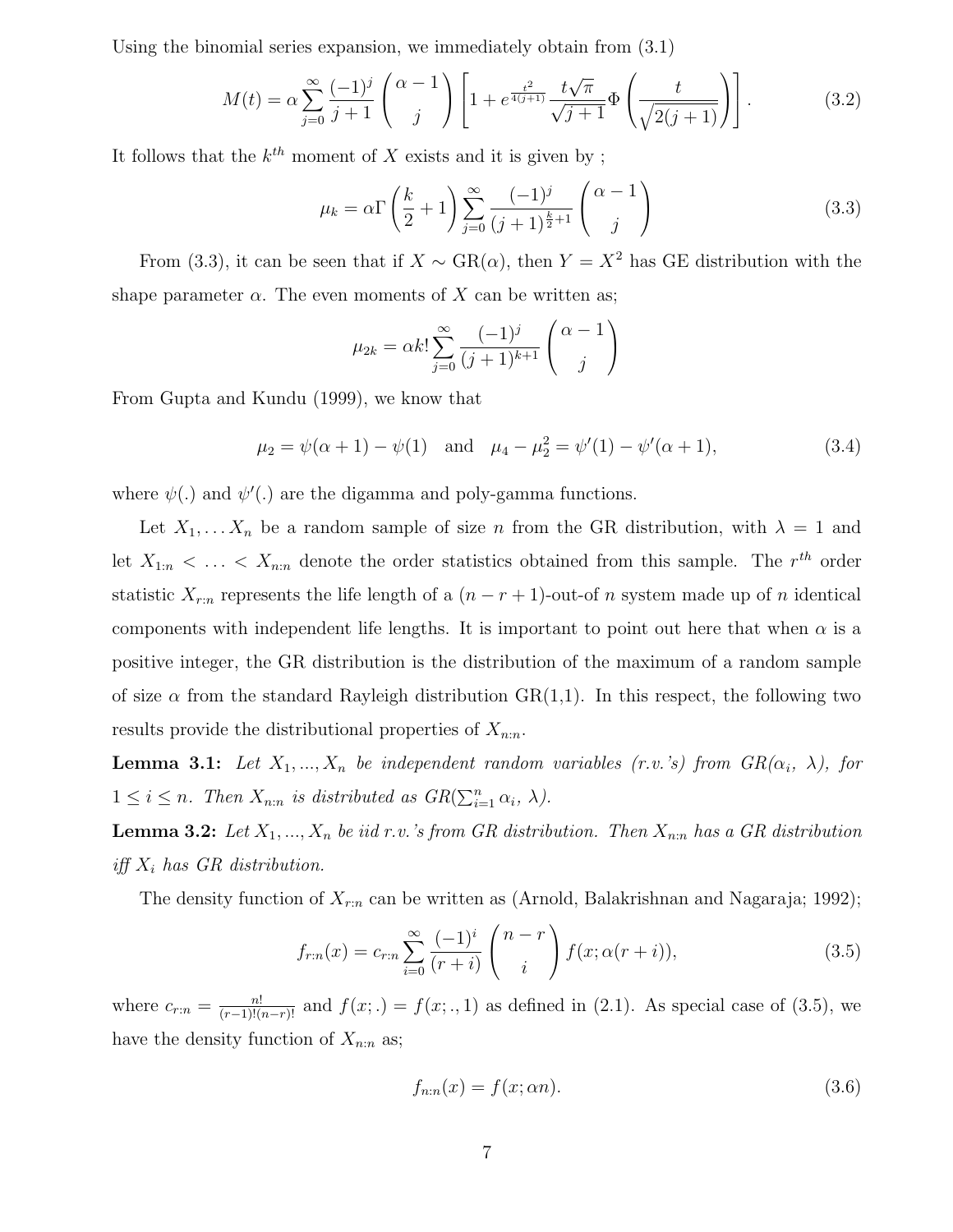Using the binomial series expansion, we immediately obtain from (3.1)

$$
M(t) = \alpha \sum_{j=0}^{\infty} \frac{(-1)^j}{j+1} \binom{\alpha-1}{j} \left[ 1 + e^{\frac{t^2}{4(j+1)}} \frac{t\sqrt{\pi}}{\sqrt{j+1}} \Phi\left(\frac{t}{\sqrt{2(j+1)}}\right) \right].
$$
 (3.2)

It follows that the  $k^{th}$  moment of X exists and it is given by;

$$
\mu_k = \alpha \Gamma \left( \frac{k}{2} + 1 \right) \sum_{j=0}^{\infty} \frac{(-1)^j}{(j+1)^{\frac{k}{2}+1}} \binom{\alpha - 1}{j} \tag{3.3}
$$

From (3.3), it can be seen that if  $X \sim \text{GR}(\alpha)$ , then  $Y = X^2$  has GE distribution with the shape parameter  $\alpha$ . The even moments of X can be written as;

$$
\mu_{2k} = \alpha k! \sum_{j=0}^{\infty} \frac{(-1)^j}{(j+1)^{k+1}} \begin{pmatrix} \alpha - 1 \\ j \end{pmatrix}
$$

From Gupta and Kundu (1999), we know that

$$
\mu_2 = \psi(\alpha + 1) - \psi(1)
$$
 and  $\mu_4 - \mu_2^2 = \psi'(1) - \psi'(\alpha + 1)$ , (3.4)

where  $\psi(.)$  and  $\psi'(.)$  are the digamma and poly-gamma functions.

Let  $X_1, \ldots, X_n$  be a random sample of size n from the GR distribution, with  $\lambda = 1$  and let  $X_{1:n} < \ldots < X_{n:n}$  denote the order statistics obtained from this sample. The  $r^{th}$  order statistic  $X_{r:n}$  represents the life length of a  $(n - r + 1)$ -out-of n system made up of n identical components with independent life lengths. It is important to point out here that when  $\alpha$  is a positive integer, the GR distribution is the distribution of the maximum of a random sample of size  $\alpha$  from the standard Rayleigh distribution  $GR(1,1)$ . In this respect, the following two results provide the distributional properties of  $X_{n:n}$ .

**Lemma 3.1:** Let  $X_1, ..., X_n$  be independent random variables (r.v.'s) from  $GR(\alpha_i, \lambda)$ , for  $1 \leq i \leq n$ . Then  $X_{n:n}$  is distributed as  $GR(\sum_{i=1}^{n} \alpha_i, \lambda)$ .

**Lemma 3.2:** Let  $X_1, ..., X_n$  be iid r.v.'s from GR distribution. Then  $X_{n:n}$  has a GR distribution iff  $X_i$  has GR distribution.

The density function of  $X_{r:n}$  can be written as (Arnold, Balakrishnan and Nagaraja; 1992);

$$
f_{r:n}(x) = c_{r:n} \sum_{i=0}^{\infty} \frac{(-1)^i}{(r+i)} \binom{n-r}{i} f(x; \alpha(r+i)),
$$
\n(3.5)

where  $c_{r:n} = \frac{n!}{(r-1)!(n-r)!}$  and  $f(x;.) = f(x;.,1)$  as defined in (2.1). As special case of (3.5), we have the density function of  $X_{n:n}$  as;

$$
f_{n:n}(x) = f(x; \alpha n). \tag{3.6}
$$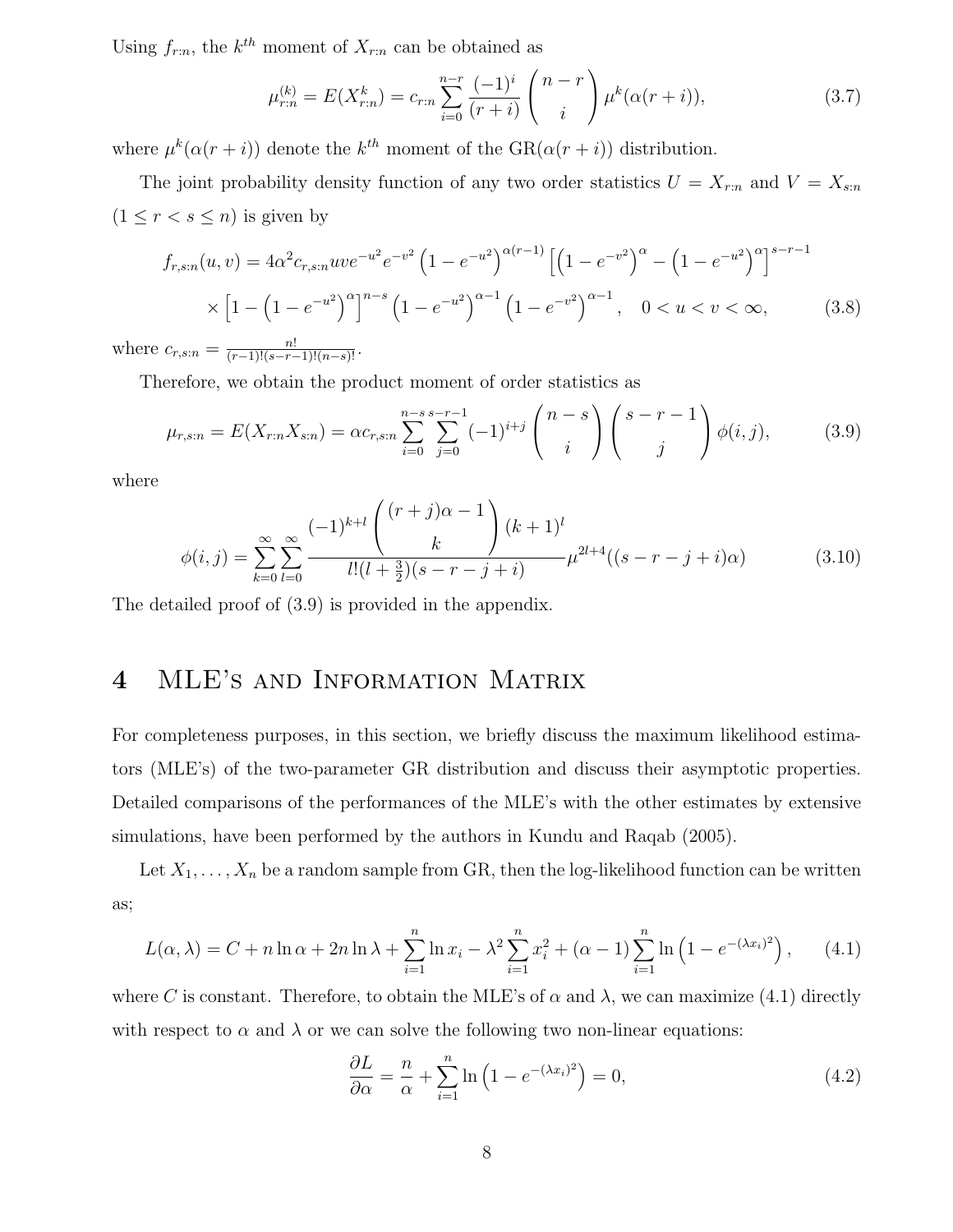Using  $f_{r:n}$ , the  $k^{th}$  moment of  $X_{r:n}$  can be obtained as

$$
\mu_{r:n}^{(k)} = E(X_{r:n}^k) = c_{r:n} \sum_{i=0}^{n-r} \frac{(-1)^i}{(r+i)} \binom{n-r}{i} \mu^k (\alpha(r+i)), \tag{3.7}
$$

where  $\mu^k(\alpha(r+i))$  denote the  $k^{th}$  moment of the  $GR(\alpha(r+i))$  distribution.

The joint probability density function of any two order statistics  $U = X_{r:n}$  and  $V = X_{s:n}$  $(1 \leq r < s \leq n)$  is given by

$$
f_{r,s:n}(u,v) = 4\alpha^2 c_{r,s:n} u v e^{-u^2} e^{-v^2} \left(1 - e^{-u^2}\right)^{\alpha(r-1)} \left[\left(1 - e^{-v^2}\right)^{\alpha} - \left(1 - e^{-u^2}\right)^{\alpha}\right]^{s-r-1} \times \left[1 - \left(1 - e^{-u^2}\right)^{\alpha}\right]^{n-s} \left(1 - e^{-u^2}\right)^{\alpha-1} \left(1 - e^{-v^2}\right)^{\alpha-1}, \quad 0 < u < v < \infty,\tag{3.8}
$$

where  $c_{r,s:n} = \frac{n!}{(r-1)!(s-r-1)!(n-s)!}$ .

Therefore, we obtain the product moment of order statistics as

$$
\mu_{r,s:n} = E(X_{r:n}X_{s:n}) = \alpha c_{r,s:n} \sum_{i=0}^{n-s} \sum_{j=0}^{s-r-1} (-1)^{i+j} \binom{n-s}{i} \binom{s-r-1}{j} \phi(i,j), \tag{3.9}
$$

where

$$
\phi(i,j) = \sum_{k=0}^{\infty} \sum_{l=0}^{\infty} \frac{(-1)^{k+l} \binom{(r+j)\alpha - 1}{k} (k+1)^l}{l!(l+\frac{3}{2})(s-r-j+i)} \mu^{2l+4}((s-r-j+i)\alpha) \tag{3.10}
$$

The detailed proof of (3.9) is provided in the appendix.

## 4 MLE's and Information Matrix

For completeness purposes, in this section, we briefly discuss the maximum likelihood estimators (MLE's) of the two-parameter GR distribution and discuss their asymptotic properties. Detailed comparisons of the performances of the MLE's with the other estimates by extensive simulations, have been performed by the authors in Kundu and Raqab (2005).

Let  $X_1, \ldots, X_n$  be a random sample from GR, then the log-likelihood function can be written as;

$$
L(\alpha, \lambda) = C + n \ln \alpha + 2n \ln \lambda + \sum_{i=1}^{n} \ln x_i - \lambda^2 \sum_{i=1}^{n} x_i^2 + (\alpha - 1) \sum_{i=1}^{n} \ln \left( 1 - e^{-(\lambda x_i)^2} \right), \quad (4.1)
$$

where C is constant. Therefore, to obtain the MLE's of  $\alpha$  and  $\lambda$ , we can maximize (4.1) directly with respect to  $\alpha$  and  $\lambda$  or we can solve the following two non-linear equations:

$$
\frac{\partial L}{\partial \alpha} = \frac{n}{\alpha} + \sum_{i=1}^{n} \ln \left( 1 - e^{-(\lambda x_i)^2} \right) = 0,
$$
\n(4.2)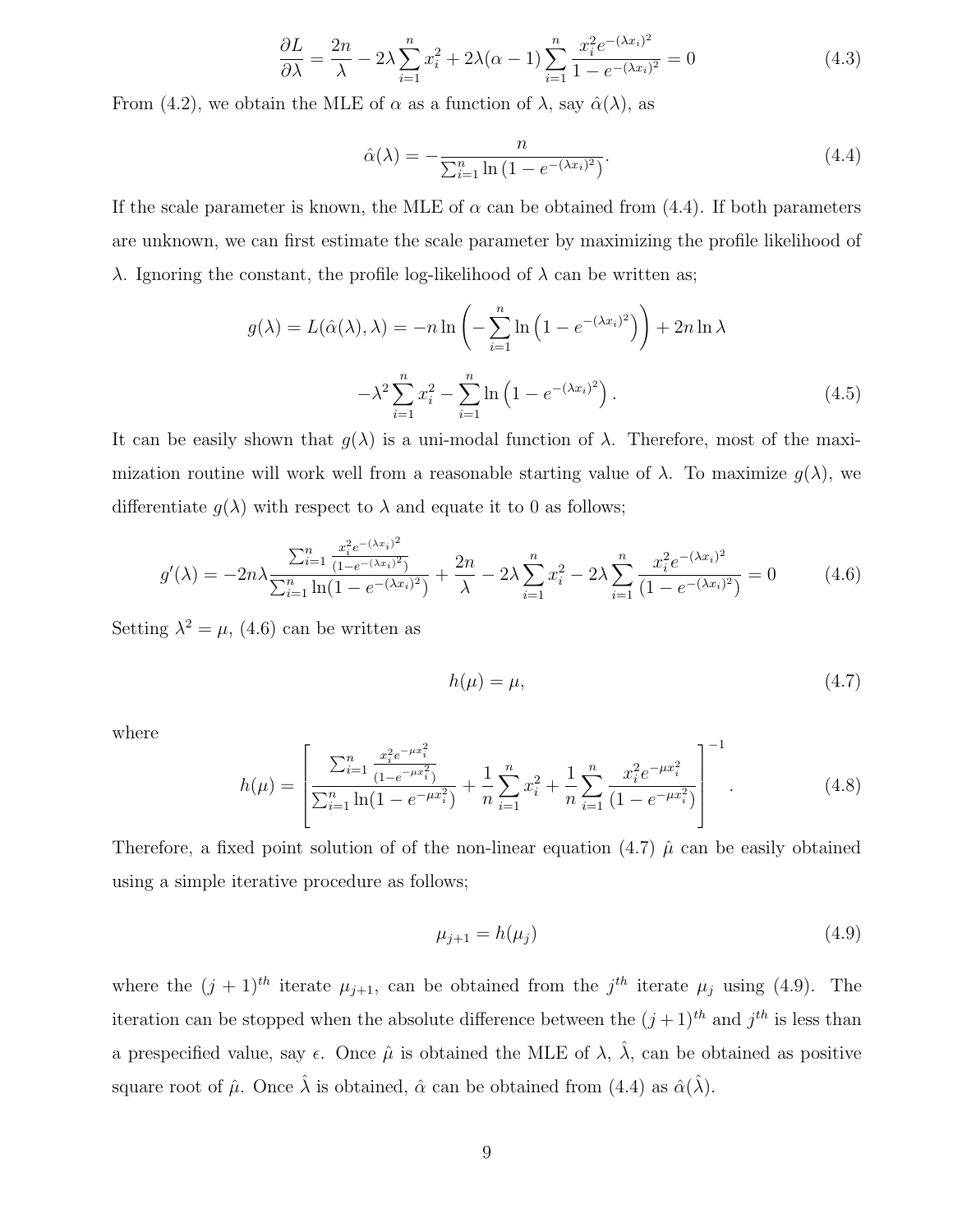$$
\frac{\partial L}{\partial \lambda} = \frac{2n}{\lambda} - 2\lambda \sum_{i=1}^{n} x_i^2 + 2\lambda(\alpha - 1) \sum_{i=1}^{n} \frac{x_i^2 e^{-(\lambda x_i)^2}}{1 - e^{-(\lambda x_i)^2}} = 0
$$
\n(4.3)

From (4.2), we obtain the MLE of  $\alpha$  as a function of  $\lambda$ , say  $\hat{\alpha}(\lambda)$ , as

$$
\hat{\alpha}(\lambda) = -\frac{n}{\sum_{i=1}^{n} \ln\left(1 - e^{-(\lambda x_i)^2}\right)}.\tag{4.4}
$$

If the scale parameter is known, the MLE of  $\alpha$  can be obtained from (4.4). If both parameters are unknown, we can first estimate the scale parameter by maximizing the profile likelihood of λ. Ignoring the constant, the profile log-likelihood of  $λ$  can be written as;

$$
g(\lambda) = L(\hat{\alpha}(\lambda), \lambda) = -n \ln \left( -\sum_{i=1}^{n} \ln \left( 1 - e^{-(\lambda x_i)^2} \right) \right) + 2n \ln \lambda
$$

$$
-\lambda^2 \sum_{i=1}^{n} x_i^2 - \sum_{i=1}^{n} \ln \left( 1 - e^{-(\lambda x_i)^2} \right). \tag{4.5}
$$

It can be easily shown that  $g(\lambda)$  is a uni-modal function of  $\lambda$ . Therefore, most of the maximization routine will work well from a reasonable starting value of  $\lambda$ . To maximize  $q(\lambda)$ , we differentiate  $q(\lambda)$  with respect to  $\lambda$  and equate it to 0 as follows;

$$
g'(\lambda) = -2n\lambda \frac{\sum_{i=1}^{n} \frac{x_i^2 e^{-(\lambda x_i)^2}}{(1 - e^{-(\lambda x_i)^2})}}{\sum_{i=1}^{n} \ln(1 - e^{-(\lambda x_i)^2})} + \frac{2n}{\lambda} - 2\lambda \sum_{i=1}^{n} x_i^2 - 2\lambda \sum_{i=1}^{n} \frac{x_i^2 e^{-(\lambda x_i)^2}}{(1 - e^{-(\lambda x_i)^2})} = 0
$$
(4.6)

Setting  $\lambda^2 = \mu$ , (4.6) can be written as

$$
h(\mu) = \mu,\tag{4.7}
$$

where

$$
h(\mu) = \left[ \frac{\sum_{i=1}^{n} \frac{x_i^2 e^{-\mu x_i^2}}{(1 - e^{-\mu x_i^2})}}{\sum_{i=1}^{n} \ln(1 - e^{-\mu x_i^2})} + \frac{1}{n} \sum_{i=1}^{n} x_i^2 + \frac{1}{n} \sum_{i=1}^{n} \frac{x_i^2 e^{-\mu x_i^2}}{(1 - e^{-\mu x_i^2})} \right]^{-1}.
$$
 (4.8)

Therefore, a fixed point solution of of the non-linear equation (4.7)  $\hat{\mu}$  can be easily obtained using a simple iterative procedure as follows;

$$
\mu_{j+1} = h(\mu_j) \tag{4.9}
$$

where the  $(j + 1)^{th}$  iterate  $\mu_{j+1}$ , can be obtained from the  $j^{th}$  iterate  $\mu_j$  using (4.9). The iteration can be stopped when the absolute difference between the  $(j+1)^{th}$  and  $j^{th}$  is less than a prespecified value, say  $\epsilon$ . Once  $\hat{\mu}$  is obtained the MLE of  $\lambda$ ,  $\hat{\lambda}$ , can be obtained as positive square root of  $\hat{\mu}$ . Once  $\hat{\lambda}$  is obtained,  $\hat{\alpha}$  can be obtained from (4.4) as  $\hat{\alpha}(\hat{\lambda})$ .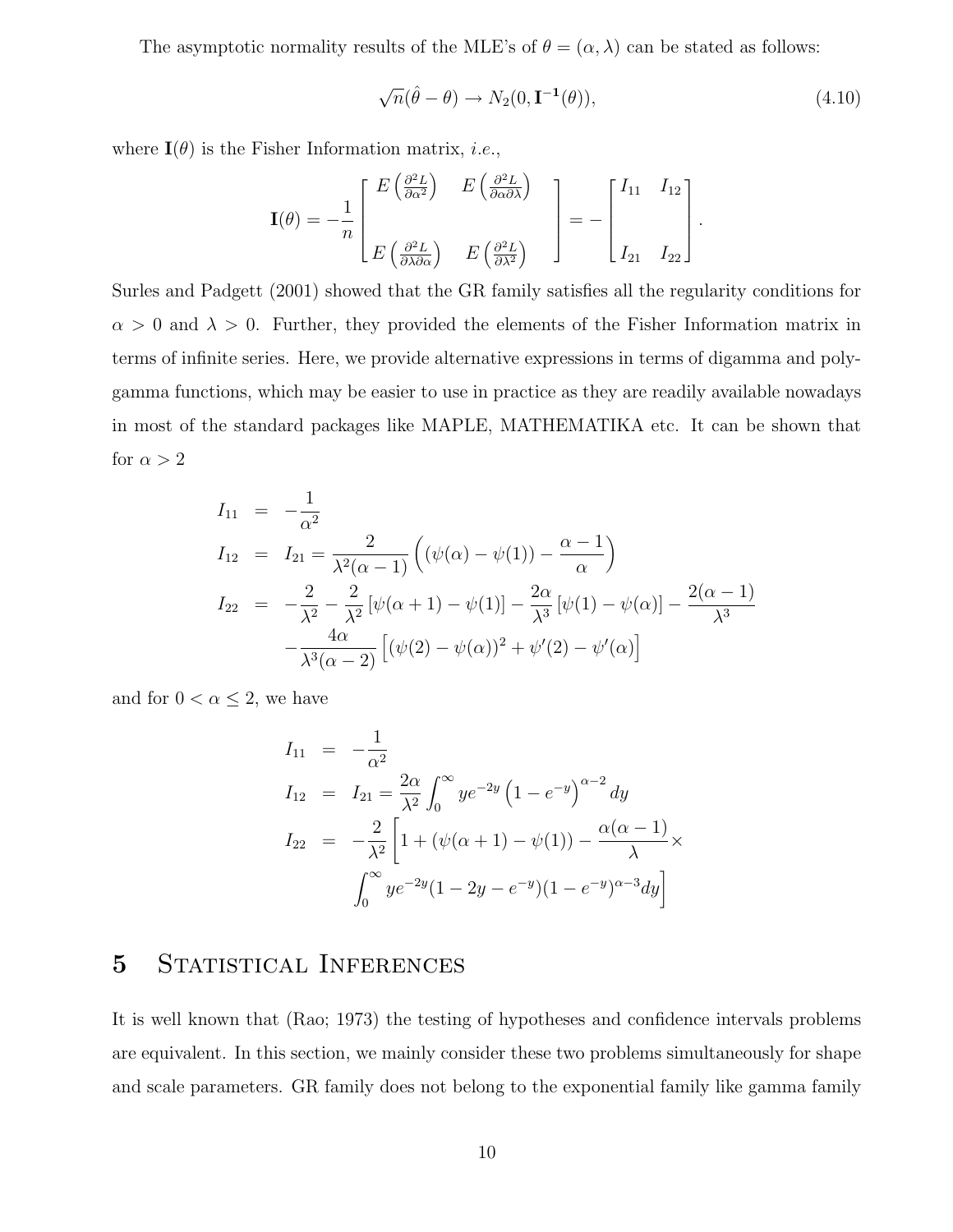The asymptotic normality results of the MLE's of  $\theta = (\alpha, \lambda)$  can be stated as follows:

$$
\sqrt{n}(\hat{\theta} - \theta) \to N_2(0, \mathbf{I}^{-1}(\theta)), \tag{4.10}
$$

where  $\mathbf{I}(\theta)$  is the Fisher Information matrix, *i.e.*,

$$
\mathbf{I}(\theta) = -\frac{1}{n} \begin{bmatrix} E\left(\frac{\partial^2 L}{\partial \alpha^2}\right) & E\left(\frac{\partial^2 L}{\partial \alpha \partial \lambda}\right) \\ E\left(\frac{\partial^2 L}{\partial \lambda \partial \alpha}\right) & E\left(\frac{\partial^2 L}{\partial \lambda^2}\right) \end{bmatrix} = -\begin{bmatrix} I_{11} & I_{12} \\ \cdot & \cdot \\ I_{21} & I_{22} \end{bmatrix}.
$$

Surles and Padgett (2001) showed that the GR family satisfies all the regularity conditions for  $\alpha > 0$  and  $\lambda > 0$ . Further, they provided the elements of the Fisher Information matrix in terms of infinite series. Here, we provide alternative expressions in terms of digamma and polygamma functions, which may be easier to use in practice as they are readily available nowadays in most of the standard packages like MAPLE, MATHEMATIKA etc. It can be shown that for  $\alpha > 2$ 

$$
I_{11} = -\frac{1}{\alpha^2}
$$
  
\n
$$
I_{12} = I_{21} = \frac{2}{\lambda^2(\alpha - 1)} \left( (\psi(\alpha) - \psi(1)) - \frac{\alpha - 1}{\alpha} \right)
$$
  
\n
$$
I_{22} = -\frac{2}{\lambda^2} - \frac{2}{\lambda^2} [\psi(\alpha + 1) - \psi(1)] - \frac{2\alpha}{\lambda^3} [\psi(1) - \psi(\alpha)] - \frac{2(\alpha - 1)}{\lambda^3}
$$
  
\n
$$
-\frac{4\alpha}{\lambda^3(\alpha - 2)} [(\psi(2) - \psi(\alpha))^2 + \psi'(2) - \psi'(\alpha)]
$$

and for  $0 < \alpha \leq 2$ , we have

$$
I_{11} = -\frac{1}{\alpha^2}
$$
  
\n
$$
I_{12} = I_{21} = \frac{2\alpha}{\lambda^2} \int_0^\infty y e^{-2y} (1 - e^{-y})^{\alpha - 2} dy
$$
  
\n
$$
I_{22} = -\frac{2}{\lambda^2} \left[ 1 + (\psi(\alpha + 1) - \psi(1)) - \frac{\alpha(\alpha - 1)}{\lambda} \times \int_0^\infty y e^{-2y} (1 - 2y - e^{-y})(1 - e^{-y})^{\alpha - 3} dy \right]
$$

## 5 STATISTICAL INFERENCES

It is well known that (Rao; 1973) the testing of hypotheses and confidence intervals problems are equivalent. In this section, we mainly consider these two problems simultaneously for shape and scale parameters. GR family does not belong to the exponential family like gamma family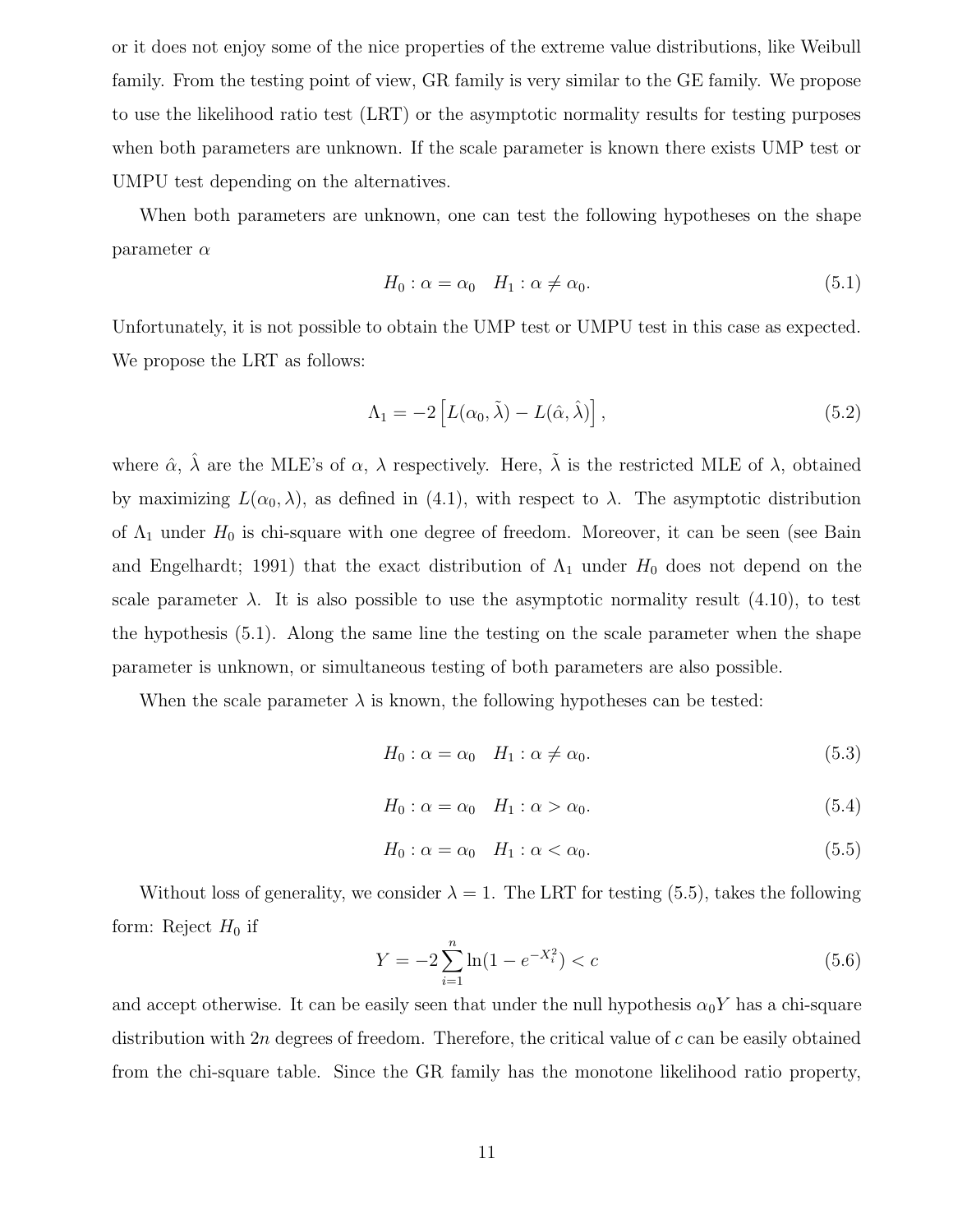or it does not enjoy some of the nice properties of the extreme value distributions, like Weibull family. From the testing point of view, GR family is very similar to the GE family. We propose to use the likelihood ratio test (LRT) or the asymptotic normality results for testing purposes when both parameters are unknown. If the scale parameter is known there exists UMP test or UMPU test depending on the alternatives.

When both parameters are unknown, one can test the following hypotheses on the shape parameter  $\alpha$ 

$$
H_0: \alpha = \alpha_0 \quad H_1: \alpha \neq \alpha_0. \tag{5.1}
$$

Unfortunately, it is not possible to obtain the UMP test or UMPU test in this case as expected. We propose the LRT as follows:

$$
\Lambda_1 = -2 \left[ L(\alpha_0, \tilde{\lambda}) - L(\hat{\alpha}, \hat{\lambda}) \right],\tag{5.2}
$$

where  $\hat{\alpha}$ ,  $\hat{\lambda}$  are the MLE's of  $\alpha$ ,  $\lambda$  respectively. Here,  $\tilde{\lambda}$  is the restricted MLE of  $\lambda$ , obtained by maximizing  $L(\alpha_0, \lambda)$ , as defined in (4.1), with respect to  $\lambda$ . The asymptotic distribution of  $\Lambda_1$  under  $H_0$  is chi-square with one degree of freedom. Moreover, it can be seen (see Bain and Engelhardt; 1991) that the exact distribution of  $\Lambda_1$  under  $H_0$  does not depend on the scale parameter  $\lambda$ . It is also possible to use the asymptotic normality result (4.10), to test the hypothesis (5.1). Along the same line the testing on the scale parameter when the shape parameter is unknown, or simultaneous testing of both parameters are also possible.

When the scale parameter  $\lambda$  is known, the following hypotheses can be tested:

$$
H_0: \alpha = \alpha_0 \quad H_1: \alpha \neq \alpha_0. \tag{5.3}
$$

$$
H_0: \alpha = \alpha_0 \quad H_1: \alpha > \alpha_0. \tag{5.4}
$$

$$
H_0: \alpha = \alpha_0 \quad H_1: \alpha < \alpha_0. \tag{5.5}
$$

Without loss of generality, we consider  $\lambda = 1$ . The LRT for testing (5.5), takes the following form: Reject  $H_0$  if

$$
Y = -2\sum_{i=1}^{n} \ln(1 - e^{-X_i^2}) < c \tag{5.6}
$$

and accept otherwise. It can be easily seen that under the null hypothesis  $\alpha_0 Y$  has a chi-square distribution with  $2n$  degrees of freedom. Therefore, the critical value of c can be easily obtained from the chi-square table. Since the GR family has the monotone likelihood ratio property,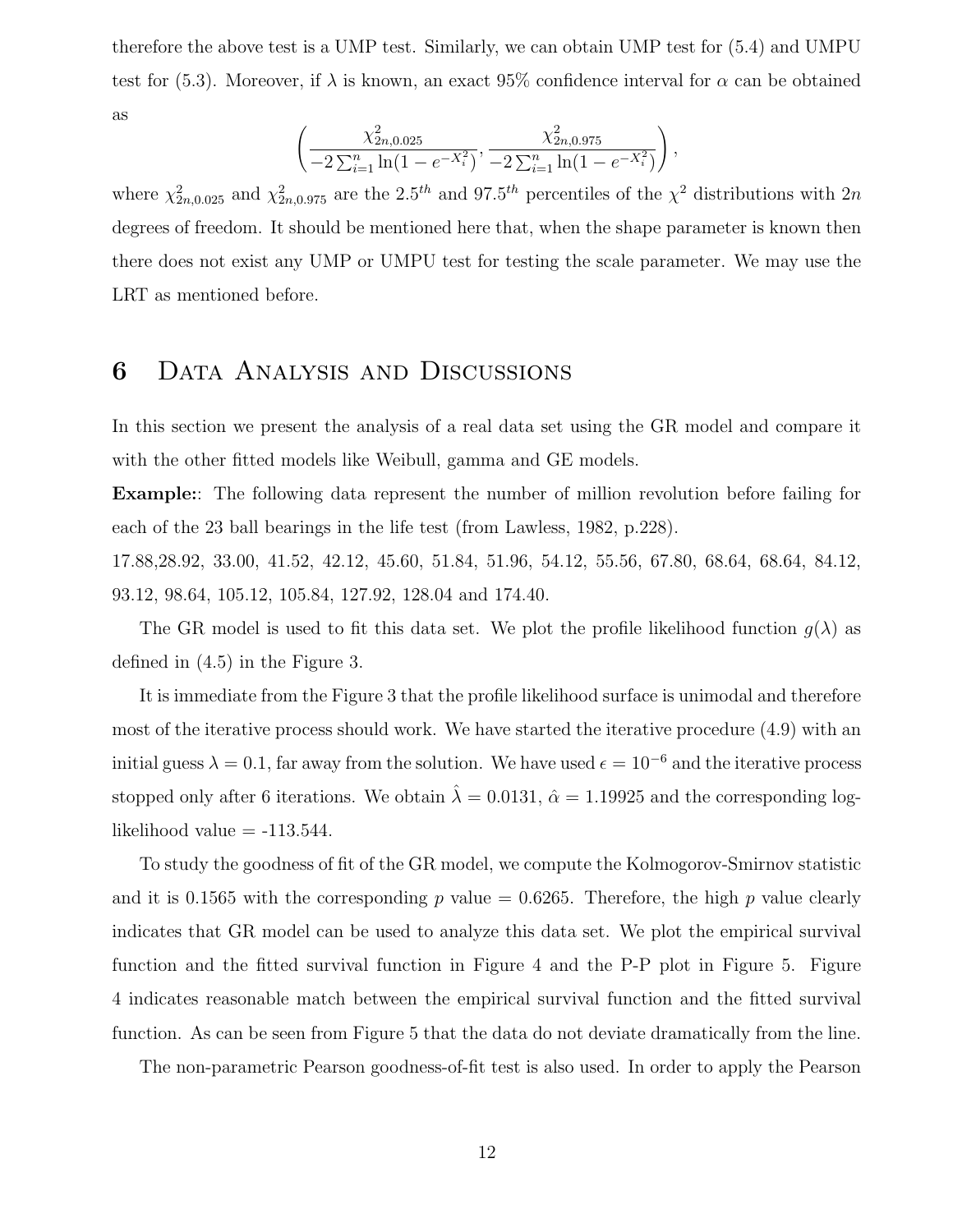therefore the above test is a UMP test. Similarly, we can obtain UMP test for (5.4) and UMPU test for (5.3). Moreover, if  $\lambda$  is known, an exact 95% confidence interval for  $\alpha$  can be obtained as

$$
\left(\frac{\chi_{2n,0.025}^2}{-2\sum_{i=1}^n \ln(1 - e^{-X_i^2})}, \frac{\chi_{2n,0.975}^2}{-2\sum_{i=1}^n \ln(1 - e^{-X_i^2})}\right),
$$

where  $\chi^2_{2n,0.025}$  and  $\chi^2_{2n,0.975}$  are the 2.5<sup>th</sup> and 97.5<sup>th</sup> percentiles of the  $\chi^2$  distributions with 2n degrees of freedom. It should be mentioned here that, when the shape parameter is known then there does not exist any UMP or UMPU test for testing the scale parameter. We may use the LRT as mentioned before.

### 6 Data Analysis and Discussions

In this section we present the analysis of a real data set using the GR model and compare it with the other fitted models like Weibull, gamma and GE models.

Example:: The following data represent the number of million revolution before failing for each of the 23 ball bearings in the life test (from Lawless, 1982, p.228).

17.88,28.92, 33.00, 41.52, 42.12, 45.60, 51.84, 51.96, 54.12, 55.56, 67.80, 68.64, 68.64, 84.12, 93.12, 98.64, 105.12, 105.84, 127.92, 128.04 and 174.40.

The GR model is used to fit this data set. We plot the profile likelihood function  $q(\lambda)$  as defined in (4.5) in the Figure 3.

It is immediate from the Figure 3 that the profile likelihood surface is unimodal and therefore most of the iterative process should work. We have started the iterative procedure (4.9) with an initial guess  $\lambda = 0.1$ , far away from the solution. We have used  $\epsilon = 10^{-6}$  and the iterative process stopped only after 6 iterations. We obtain  $\hat{\lambda} = 0.0131$ ,  $\hat{\alpha} = 1.19925$  and the corresponding loglikelihood value  $= -113.544$ .

To study the goodness of fit of the GR model, we compute the Kolmogorov-Smirnov statistic and it is 0.1565 with the corresponding p value  $= 0.6265$ . Therefore, the high p value clearly indicates that GR model can be used to analyze this data set. We plot the empirical survival function and the fitted survival function in Figure 4 and the P-P plot in Figure 5. Figure 4 indicates reasonable match between the empirical survival function and the fitted survival function. As can be seen from Figure 5 that the data do not deviate dramatically from the line.

The non-parametric Pearson goodness-of-fit test is also used. In order to apply the Pearson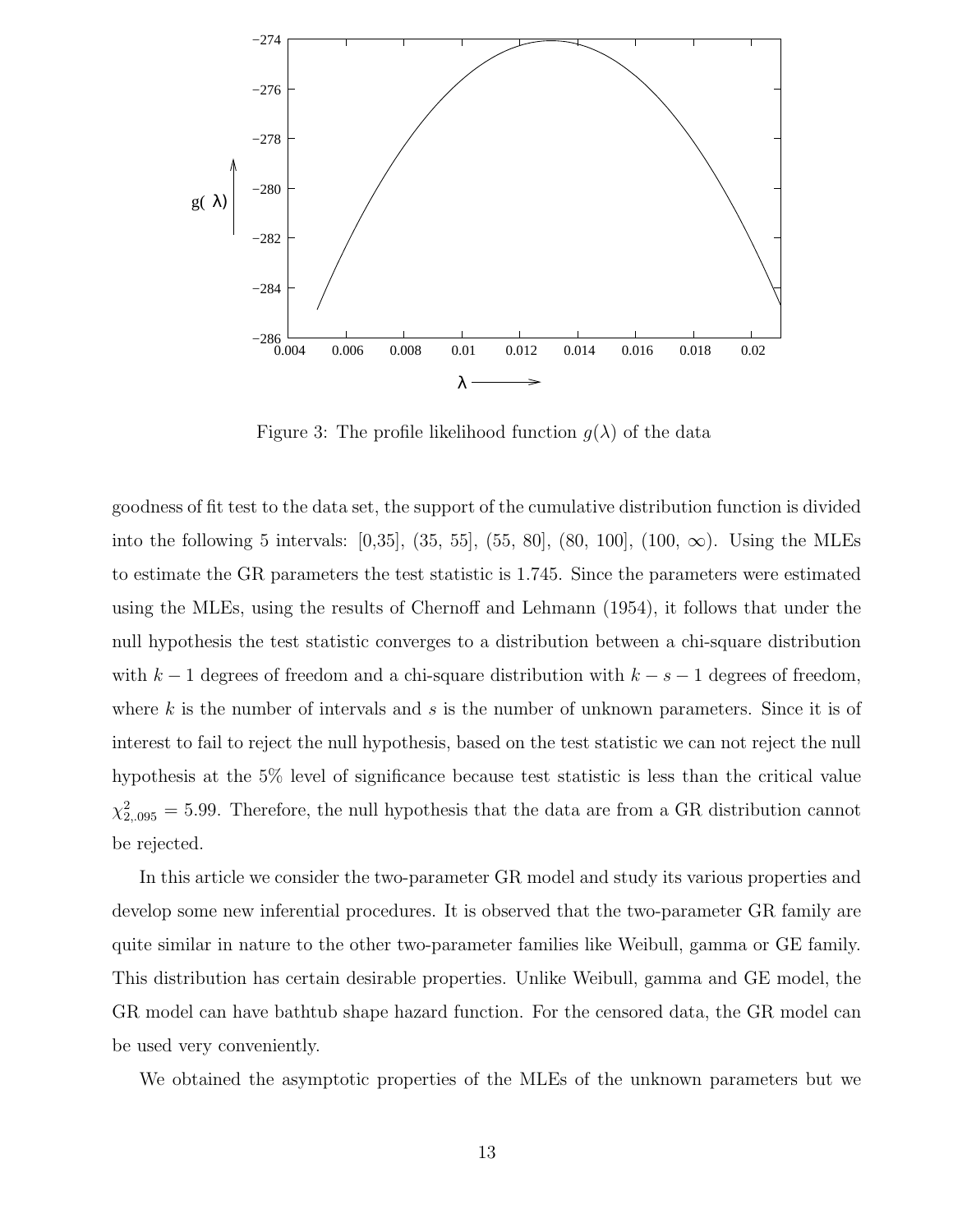

Figure 3: The profile likelihood function  $g(\lambda)$  of the data

goodness of fit test to the data set, the support of the cumulative distribution function is divided into the following 5 intervals:  $[0,35]$ ,  $(35, 55]$ ,  $(55, 80]$ ,  $(80, 100]$ ,  $(100, \infty)$ . Using the MLEs to estimate the GR parameters the test statistic is 1.745. Since the parameters were estimated using the MLEs, using the results of Chernoff and Lehmann (1954), it follows that under the null hypothesis the test statistic converges to a distribution between a chi-square distribution with  $k-1$  degrees of freedom and a chi-square distribution with  $k-s-1$  degrees of freedom, where k is the number of intervals and s is the number of unknown parameters. Since it is of interest to fail to reject the null hypothesis, based on the test statistic we can not reject the null hypothesis at the 5% level of significance because test statistic is less than the critical value  $\chi_{2,095}^2 = 5.99$ . Therefore, the null hypothesis that the data are from a GR distribution cannot be rejected.

In this article we consider the two-parameter GR model and study its various properties and develop some new inferential procedures. It is observed that the two-parameter GR family are quite similar in nature to the other two-parameter families like Weibull, gamma or GE family. This distribution has certain desirable properties. Unlike Weibull, gamma and GE model, the GR model can have bathtub shape hazard function. For the censored data, the GR model can be used very conveniently.

We obtained the asymptotic properties of the MLEs of the unknown parameters but we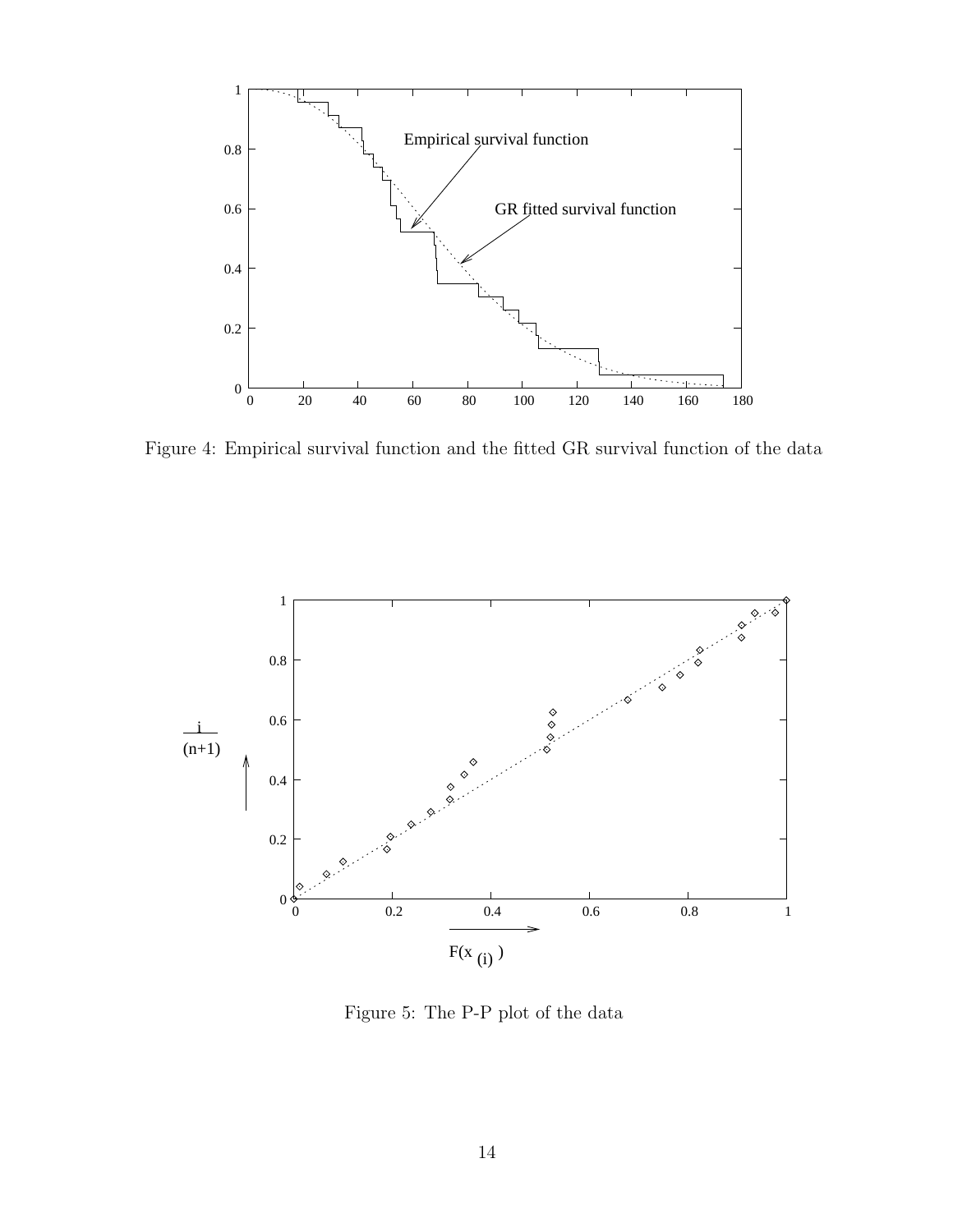

Figure 4: Empirical survival function and the fitted GR survival function of the data



Figure 5: The P-P plot of the data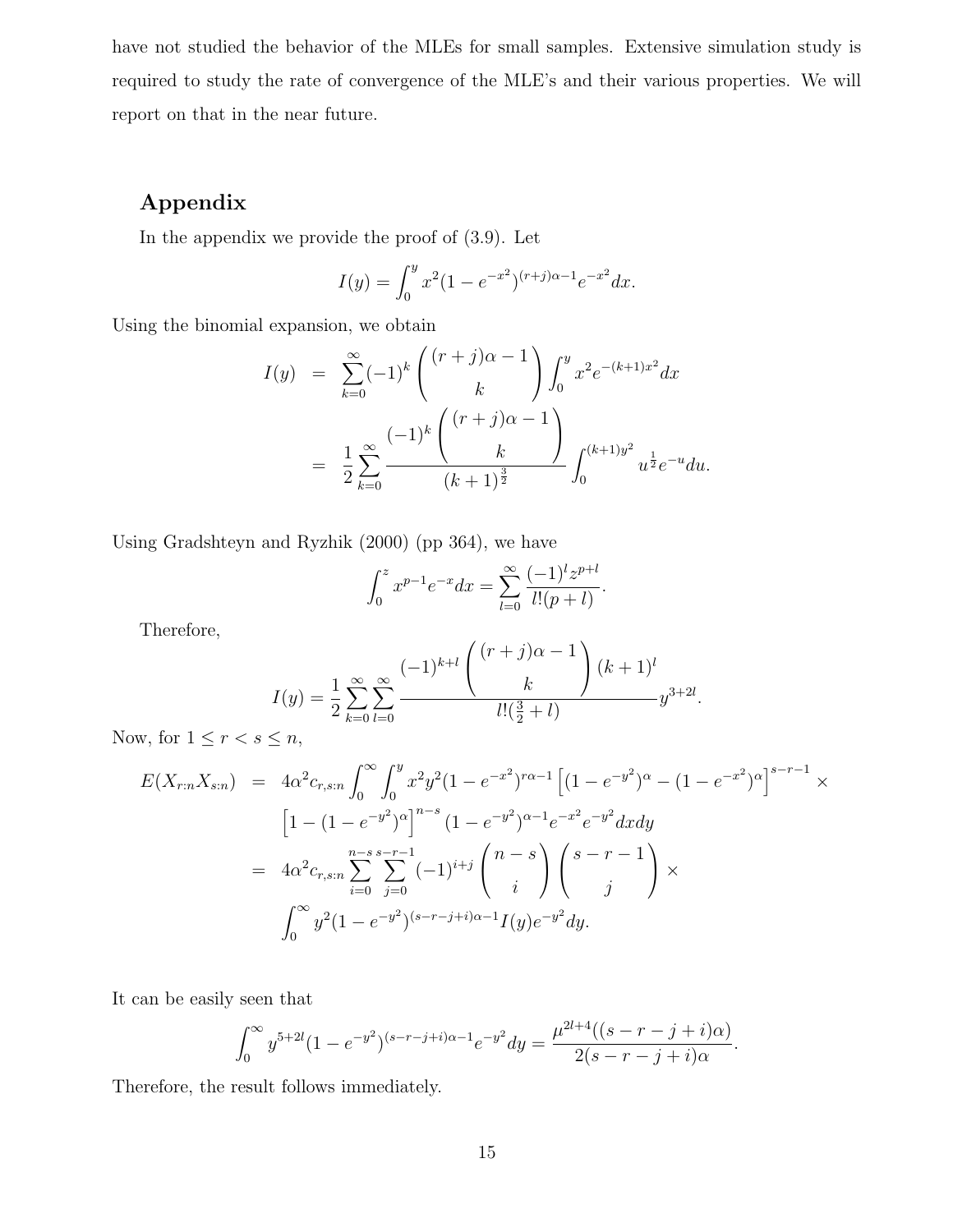have not studied the behavior of the MLEs for small samples. Extensive simulation study is required to study the rate of convergence of the MLE's and their various properties. We will report on that in the near future.

#### Appendix

In the appendix we provide the proof of (3.9). Let

$$
I(y) = \int_0^y x^2 (1 - e^{-x^2})^{(r+j)\alpha - 1} e^{-x^2} dx.
$$

Using the binomial expansion, we obtain

$$
I(y) = \sum_{k=0}^{\infty} (-1)^k { (r+j)\alpha - 1 \choose k} \int_0^y x^2 e^{-(k+1)x^2} dx
$$
  
= 
$$
\frac{1}{2} \sum_{k=0}^{\infty} \frac{(-1)^k { (r+j)\alpha - 1 \choose k} }{(k+1)^{\frac{3}{2}}} \int_0^{(k+1)y^2} u^{\frac{1}{2}} e^{-u} du.
$$

Using Gradshteyn and Ryzhik (2000) (pp 364), we have

$$
\int_0^z x^{p-1} e^{-x} dx = \sum_{l=0}^\infty \frac{(-1)^l z^{p+l}}{l!(p+l)}.
$$

Therefore,

$$
I(y) = \frac{1}{2} \sum_{k=0}^{\infty} \sum_{l=0}^{\infty} \frac{(-1)^{k+l} \binom{(r+j)\alpha - 1}{k}}{l!(\frac{3}{2} + l)} (k+1)^l y^{3+2l}.
$$

Now, for  $1 \leq r < s \leq n$ ,

$$
E(X_{r:n}X_{s:n}) = 4\alpha^2 c_{r,s:n} \int_0^\infty \int_0^y x^2 y^2 (1 - e^{-x^2})^{r\alpha - 1} \left[ (1 - e^{-y^2})^\alpha - (1 - e^{-x^2})^\alpha \right]^{s-r-1} \times
$$
  
\n
$$
\left[ 1 - (1 - e^{-y^2})^\alpha \right]^{n-s} (1 - e^{-y^2})^{\alpha - 1} e^{-x^2} e^{-y^2} dx dy
$$
  
\n
$$
= 4\alpha^2 c_{r,s:n} \sum_{i=0}^{n-s} \sum_{j=0}^{s-r-1} (-1)^{i+j} \binom{n-s}{i} \binom{s-r-1}{j} \times
$$
  
\n
$$
\int_0^\infty y^2 (1 - e^{-y^2})^{(s-r-j+i)\alpha - 1} I(y) e^{-y^2} dy.
$$

It can be easily seen that

$$
\int_0^\infty y^{5+2l} (1 - e^{-y^2})^{(s-r-j+i)\alpha - 1} e^{-y^2} dy = \frac{\mu^{2l+4}((s-r-j+i)\alpha)}{2(s-r-j+i)\alpha}.
$$

Therefore, the result follows immediately.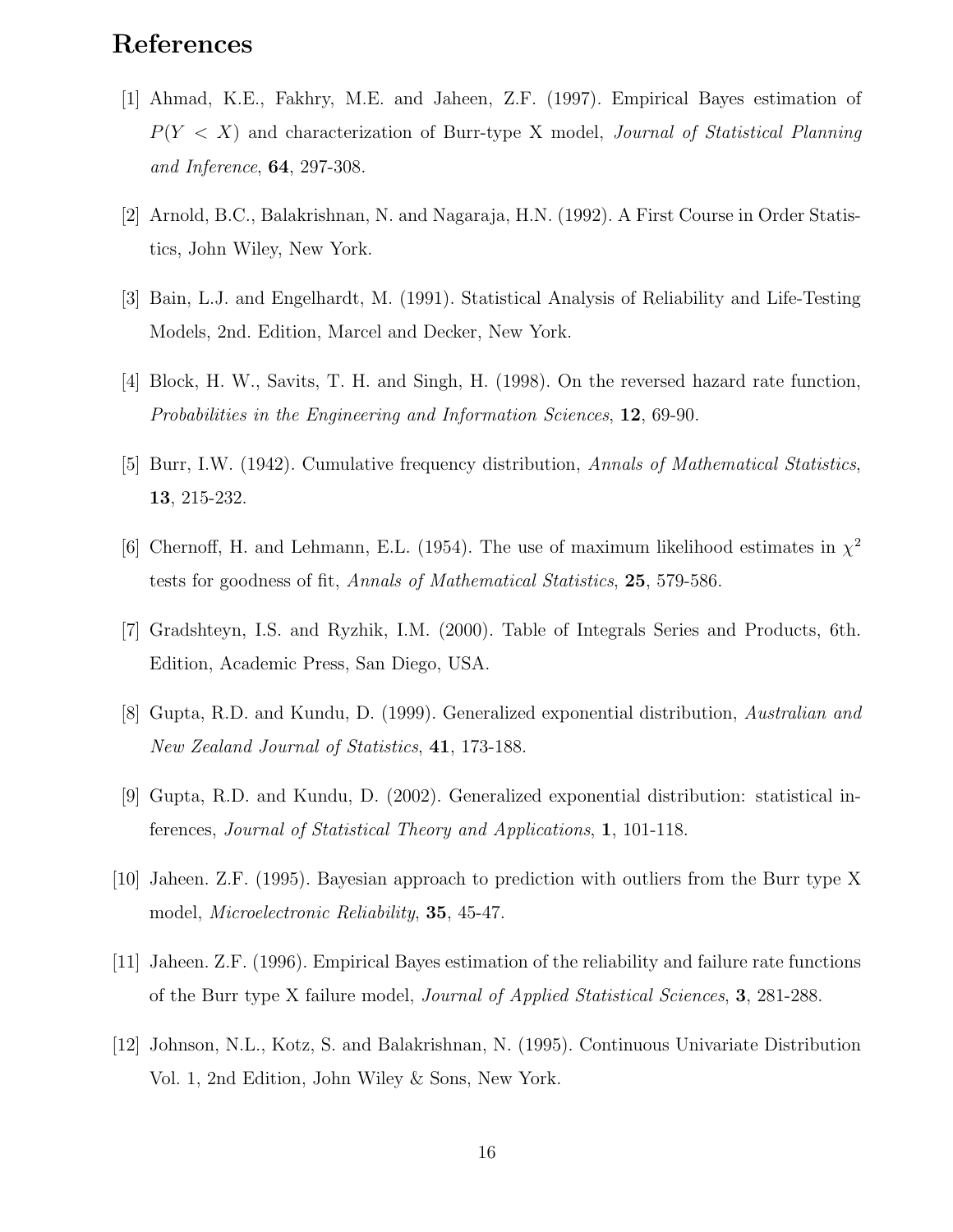## References

- [1] Ahmad, K.E., Fakhry, M.E. and Jaheen, Z.F. (1997). Empirical Bayes estimation of  $P(Y \leq X)$  and characterization of Burr-type X model, *Journal of Statistical Planning* and Inference, 64, 297-308.
- [2] Arnold, B.C., Balakrishnan, N. and Nagaraja, H.N. (1992). A First Course in Order Statistics, John Wiley, New York.
- [3] Bain, L.J. and Engelhardt, M. (1991). Statistical Analysis of Reliability and Life-Testing Models, 2nd. Edition, Marcel and Decker, New York.
- [4] Block, H. W., Savits, T. H. and Singh, H. (1998). On the reversed hazard rate function, Probabilities in the Engineering and Information Sciences, 12, 69-90.
- [5] Burr, I.W. (1942). Cumulative frequency distribution, Annals of Mathematical Statistics, 13, 215-232.
- [6] Chernoff, H. and Lehmann, E.L. (1954). The use of maximum likelihood estimates in  $\chi^2$ tests for goodness of fit, Annals of Mathematical Statistics, 25, 579-586.
- [7] Gradshteyn, I.S. and Ryzhik, I.M. (2000). Table of Integrals Series and Products, 6th. Edition, Academic Press, San Diego, USA.
- [8] Gupta, R.D. and Kundu, D. (1999). Generalized exponential distribution, Australian and New Zealand Journal of Statistics, 41, 173-188.
- [9] Gupta, R.D. and Kundu, D. (2002). Generalized exponential distribution: statistical inferences, Journal of Statistical Theory and Applications, 1, 101-118.
- [10] Jaheen. Z.F. (1995). Bayesian approach to prediction with outliers from the Burr type X model, *Microelectronic Reliability*, **35**, 45-47.
- [11] Jaheen. Z.F. (1996). Empirical Bayes estimation of the reliability and failure rate functions of the Burr type X failure model, Journal of Applied Statistical Sciences, 3, 281-288.
- [12] Johnson, N.L., Kotz, S. and Balakrishnan, N. (1995). Continuous Univariate Distribution Vol. 1, 2nd Edition, John Wiley & Sons, New York.